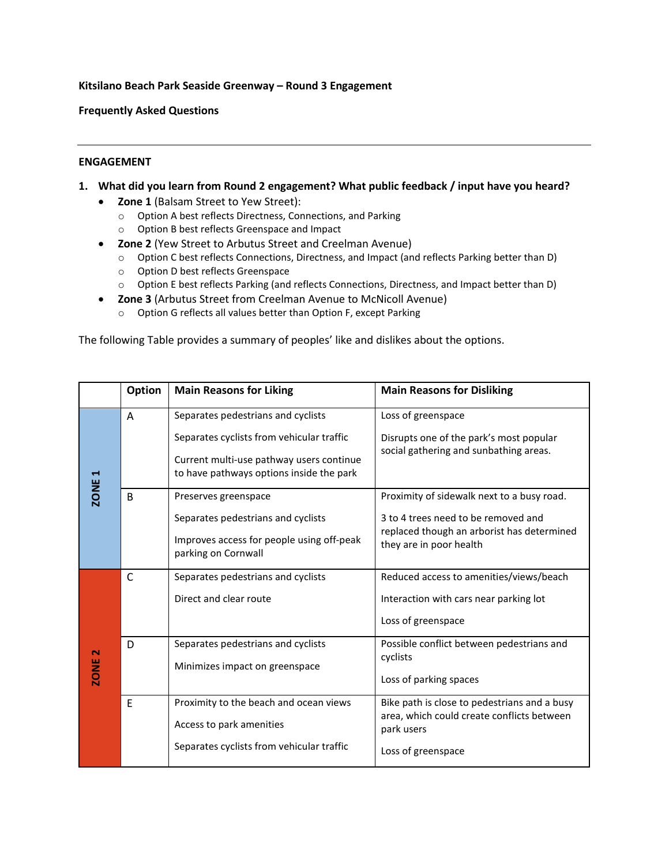#### **Kitsilano Beach Park Seaside Greenway – Round 3 Engagement**

**Frequently Asked Questions** 

#### **ENGAGEMENT**

- **1. What did you learn from Round 2 engagement? What public feedback / input have you heard?**
	- **Zone 1** (Balsam Street to Yew Street):
		- o Option A best reflects Directness, Connections, and Parking
		- o Option B best reflects Greenspace and Impact
	- **Zone 2** (Yew Street to Arbutus Street and Creelman Avenue)
		- o Option C best reflects Connections, Directness, and Impact (and reflects Parking better than D)
		- o Option D best reflects Greenspace
		- o Option E best reflects Parking (and reflects Connections, Directness, and Impact better than D)
	- **Zone 3** (Arbutus Street from Creelman Avenue to McNicoll Avenue)
		- o Option G reflects all values better than Option F, except Parking

The following Table provides a summary of peoples' like and dislikes about the options.

|                   | <b>Option</b> | <b>Main Reasons for Liking</b>                                                                                                                                          | <b>Main Reasons for Disliking</b>                                                                                                                          |
|-------------------|---------------|-------------------------------------------------------------------------------------------------------------------------------------------------------------------------|------------------------------------------------------------------------------------------------------------------------------------------------------------|
| ZONE <sub>1</sub> | A             | Separates pedestrians and cyclists<br>Separates cyclists from vehicular traffic<br>Current multi-use pathway users continue<br>to have pathways options inside the park | Loss of greenspace<br>Disrupts one of the park's most popular<br>social gathering and sunbathing areas.                                                    |
|                   | B             | Preserves greenspace<br>Separates pedestrians and cyclists<br>Improves access for people using off-peak<br>parking on Cornwall                                          | Proximity of sidewalk next to a busy road.<br>3 to 4 trees need to be removed and<br>replaced though an arborist has determined<br>they are in poor health |
| <b>ZONE 2</b>     | $\mathsf{C}$  | Separates pedestrians and cyclists<br>Direct and clear route                                                                                                            | Reduced access to amenities/views/beach<br>Interaction with cars near parking lot<br>Loss of greenspace                                                    |
|                   | D             | Separates pedestrians and cyclists<br>Minimizes impact on greenspace                                                                                                    | Possible conflict between pedestrians and<br>cyclists<br>Loss of parking spaces                                                                            |
|                   | E             | Proximity to the beach and ocean views<br>Access to park amenities<br>Separates cyclists from vehicular traffic                                                         | Bike path is close to pedestrians and a busy<br>area, which could create conflicts between<br>park users<br>Loss of greenspace                             |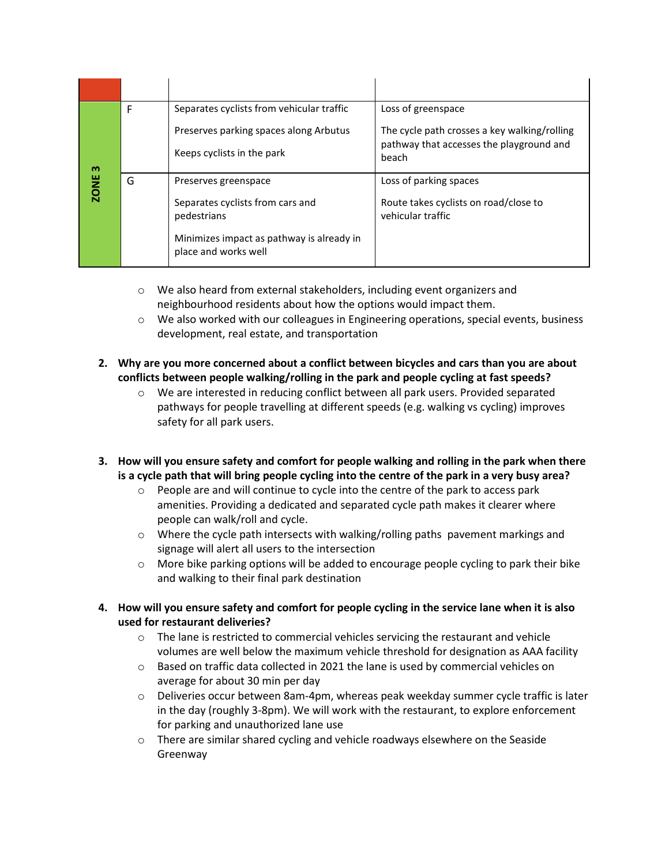| m<br><b>ZONE</b> | F | Separates cyclists from vehicular traffic                            | Loss of greenspace                                                                                |
|------------------|---|----------------------------------------------------------------------|---------------------------------------------------------------------------------------------------|
|                  |   | Preserves parking spaces along Arbutus<br>Keeps cyclists in the park | The cycle path crosses a key walking/rolling<br>pathway that accesses the playground and<br>beach |
|                  | G | Preserves greenspace                                                 | Loss of parking spaces                                                                            |
|                  |   | Separates cyclists from cars and<br>pedestrians                      | Route takes cyclists on road/close to<br>vehicular traffic                                        |
|                  |   | Minimizes impact as pathway is already in<br>place and works well    |                                                                                                   |

- $\circ$  We also heard from external stakeholders, including event organizers and neighbourhood residents about how the options would impact them.
- $\circ$  We also worked with our colleagues in Engineering operations, special events, business development, real estate, and transportation
- **2. Why are you more concerned about a conflict between bicycles and cars than you are about conflicts between people walking/rolling in the park and people cycling at fast speeds?**
	- $\circ$  We are interested in reducing conflict between all park users. Provided separated pathways for people travelling at different speeds (e.g. walking vs cycling) improves safety for all park users.
- **3. How will you ensure safety and comfort for people walking and rolling in the park when there is a cycle path that will bring people cycling into the centre of the park in a very busy area?** 
	- $\circ$  People are and will continue to cycle into the centre of the park to access park amenities. Providing a dedicated and separated cycle path makes it clearer where people can walk/roll and cycle.
	- $\circ$  Where the cycle path intersects with walking/rolling paths pavement markings and signage will alert all users to the intersection
	- $\circ$  More bike parking options will be added to encourage people cycling to park their bike and walking to their final park destination
- **4. How will you ensure safety and comfort for people cycling in the service lane when it is also used for restaurant deliveries?**
	- $\circ$  The lane is restricted to commercial vehicles servicing the restaurant and vehicle volumes are well below the maximum vehicle threshold for designation as AAA facility
	- $\circ$  Based on traffic data collected in 2021 the lane is used by commercial vehicles on average for about 30 min per day
	- o Deliveries occur between 8am-4pm, whereas peak weekday summer cycle traffic is later in the day (roughly 3-8pm). We will work with the restaurant, to explore enforcement for parking and unauthorized lane use
	- $\circ$  There are similar shared cycling and vehicle roadways elsewhere on the Seaside Greenway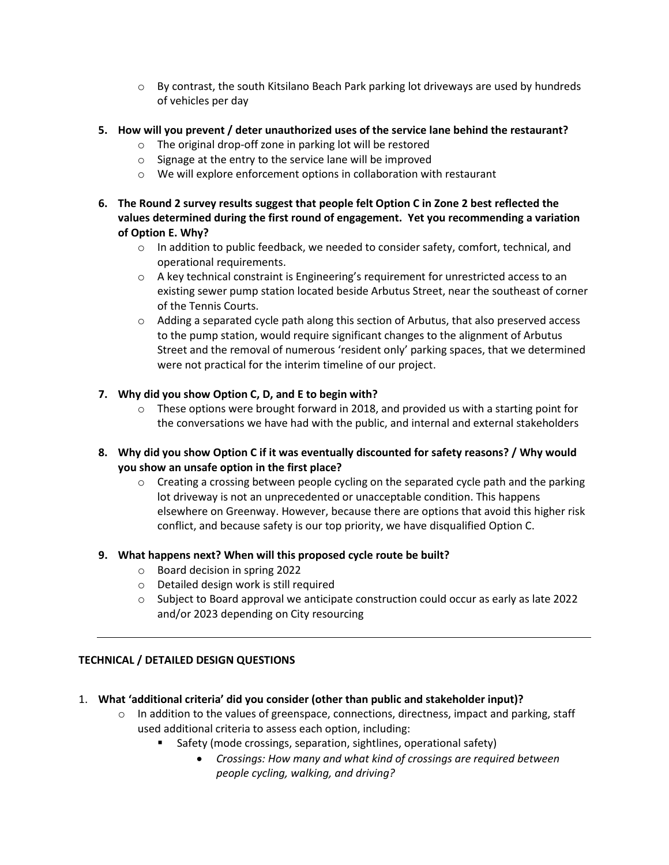- $\circ$  By contrast, the south Kitsilano Beach Park parking lot driveways are used by hundreds of vehicles per day
- **5. How will you prevent / deter unauthorized uses of the service lane behind the restaurant?**
	- o The original drop-off zone in parking lot will be restored
	- o Signage at the entry to the service lane will be improved
	- o We will explore enforcement options in collaboration with restaurant
- **6. The Round 2 survey results suggest that people felt Option C in Zone 2 best reflected the values determined during the first round of engagement. Yet you recommending a variation of Option E. Why?**
	- $\circ$  In addition to public feedback, we needed to consider safety, comfort, technical, and operational requirements.
	- $\circ$  A key technical constraint is Engineering's requirement for unrestricted access to an existing sewer pump station located beside Arbutus Street, near the southeast of corner of the Tennis Courts.
	- $\circ$  Adding a separated cycle path along this section of Arbutus, that also preserved access to the pump station, would require significant changes to the alignment of Arbutus Street and the removal of numerous 'resident only' parking spaces, that we determined were not practical for the interim timeline of our project.

## **7. Why did you show Option C, D, and E to begin with?**

- $\circ$  These options were brought forward in 2018, and provided us with a starting point for the conversations we have had with the public, and internal and external stakeholders
- **8. Why did you show Option C if it was eventually discounted for safety reasons? / Why would you show an unsafe option in the first place?**
	- $\circ$  Creating a crossing between people cycling on the separated cycle path and the parking lot driveway is not an unprecedented or unacceptable condition. This happens elsewhere on Greenway. However, because there are options that avoid this higher risk conflict, and because safety is our top priority, we have disqualified Option C.

#### **9. What happens next? When will this proposed cycle route be built?**

- o Board decision in spring 2022
- o Detailed design work is still required
- $\circ$  Subject to Board approval we anticipate construction could occur as early as late 2022 and/or 2023 depending on City resourcing

## **TECHNICAL / DETAILED DESIGN QUESTIONS**

- 1. **What 'additional criteria' did you consider (other than public and stakeholder input)?**
	- $\circ$  In addition to the values of greenspace, connections, directness, impact and parking, staff used additional criteria to assess each option, including:
		- Safety (mode crossings, separation, sightlines, operational safety)
			- *Crossings: How many and what kind of crossings are required between people cycling, walking, and driving?*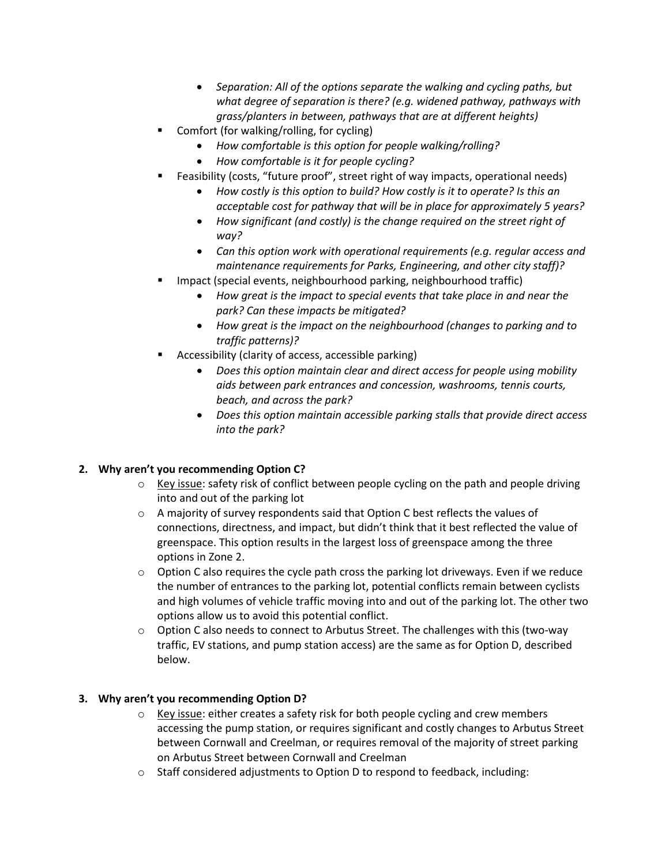- *Separation: All of the options separate the walking and cycling paths, but what degree of separation is there? (e.g. widened pathway, pathways with grass/planters in between, pathways that are at different heights)*
- Comfort (for walking/rolling, for cycling)
	- *How comfortable is this option for people walking/rolling?*
	- *How comfortable is it for people cycling?*
	- Feasibility (costs, "future proof", street right of way impacts, operational needs)
		- *How costly is this option to build? How costly is it to operate? Is this an acceptable cost for pathway that will be in place for approximately 5 years?*
		- *How significant (and costly) is the change required on the street right of way?*
		- *Can this option work with operational requirements (e.g. regular access and maintenance requirements for Parks, Engineering, and other city staff)?*
- Impact (special events, neighbourhood parking, neighbourhood traffic)
	- *How great is the impact to special events that take place in and near the park? Can these impacts be mitigated?*
	- *How great is the impact on the neighbourhood (changes to parking and to traffic patterns)?*
- Accessibility (clarity of access, accessible parking)
	- *Does this option maintain clear and direct access for people using mobility aids between park entrances and concession, washrooms, tennis courts, beach, and across the park?*
	- *Does this option maintain accessible parking stalls that provide direct access into the park?*

## **2. Why aren't you recommending Option C?**

- $\circ$  Key issue: safety risk of conflict between people cycling on the path and people driving into and out of the parking lot
- $\circ$  A majority of survey respondents said that Option C best reflects the values of connections, directness, and impact, but didn't think that it best reflected the value of greenspace. This option results in the largest loss of greenspace among the three options in Zone 2.
- $\circ$  Option C also requires the cycle path cross the parking lot driveways. Even if we reduce the number of entrances to the parking lot, potential conflicts remain between cyclists and high volumes of vehicle traffic moving into and out of the parking lot. The other two options allow us to avoid this potential conflict.
- $\circ$  Option C also needs to connect to Arbutus Street. The challenges with this (two-way traffic, EV stations, and pump station access) are the same as for Option D, described below.

## **3. Why aren't you recommending Option D?**

- $\circ$  Key issue: either creates a safety risk for both people cycling and crew members accessing the pump station, or requires significant and costly changes to Arbutus Street between Cornwall and Creelman, or requires removal of the majority of street parking on Arbutus Street between Cornwall and Creelman
- o Staff considered adjustments to Option D to respond to feedback, including: